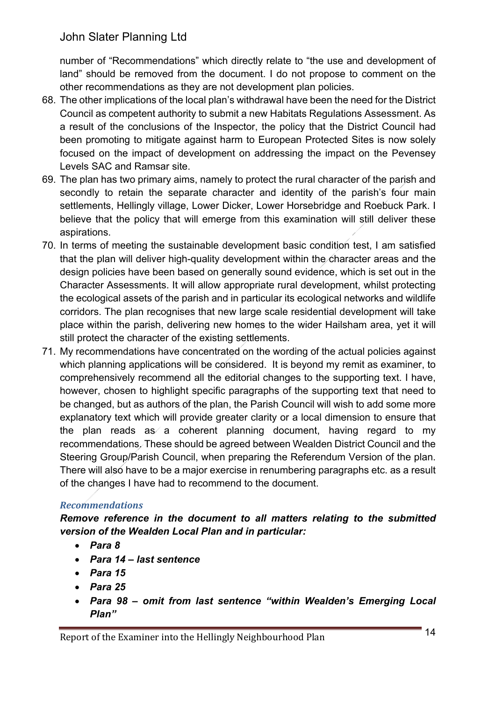number of "Recommendations" which directly relate to "the use and development of land" should be removed from the document. I do not propose to comment on the other recommendations as they are not development plan policies.

- 68. The other implications of the local plan's withdrawal have been the need for the District Council as competent authority to submit a new Habitats Regulations Assessment. As a result of the conclusions of the Inspector, the policy that the District Council had been promoting to mitigate against harm to European Protected Sites is now solely focused on the impact of development on addressing the impact on the Pevensey Levels SAC and Ramsar site.
- 69. The plan has two primary aims, namely to protect the rural character of the parish and secondly to retain the separate character and identity of the parish's four main settlements, Hellingly village, Lower Dicker, Lower Horsebridge and Roebuck Park. I believe that the policy that will emerge from this examination will still deliver these aspirations.
- 70. In terms of meeting the sustainable development basic condition test, I am satisfied that the plan will deliver high-quality development within the character areas and the design policies have been based on generally sound evidence, which is set out in the Character Assessments. It will allow appropriate rural development, whilst protecting the ecological assets of the parish and in particular its ecological networks and wildlife corridors. The plan recognises that new large scale residential development will take place within the parish, delivering new homes to the wider Hailsham area, yet it will still protect the character of the existing settlements.
- 71. My recommendations have concentrated on the wording of the actual policies against which planning applications will be considered. It is beyond my remit as examiner, to comprehensively recommend all the editorial changes to the supporting text. I have, however, chosen to highlight specific paragraphs of the supporting text that need to be changed, but as authors of the plan, the Parish Council will wish to add some more explanatory text which will provide greater clarity or a local dimension to ensure that the plan reads as a coherent planning document, having regard to my recommendations. These should be agreed between Wealden District Council and the Steering Group/Parish Council, when preparing the Referendum Version of the plan. There will also have to be a major exercise in renumbering paragraphs etc. as a result of the changes I have had to recommend to the document.

### *Recommendations*

 *Remove reference in the document to all matters relating to the submitted version of the Wealden Local Plan and in particular:* 

- *Para 8*
- *Para 14 last sentence*
- *Para 15*
- *Para 25*
- *Para 98 omit from last sentence "within Wealden's Emerging Local Plan"*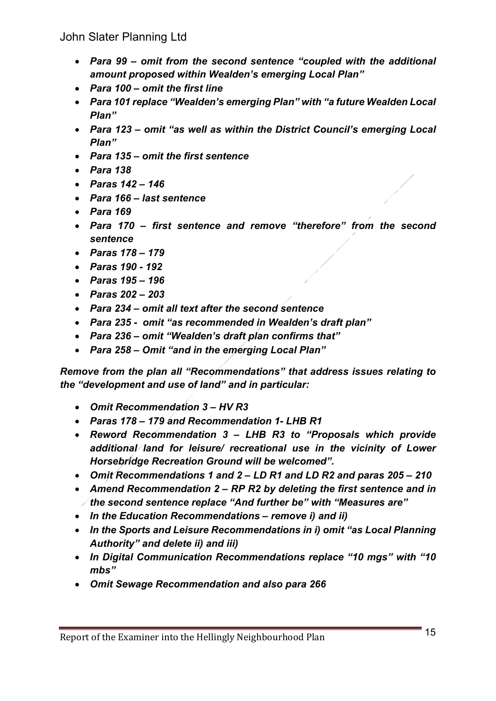- Para 99 omit from the second sentence "coupled with the additional  *amount proposed within Wealden's emerging Local Plan"*
- *Para 100 omit the first line*
- *Para 101 replace "Wealden's emerging Plan" with "a future Wealden Local Plan"*
- *Para 123 omit "as well as within the District Council's emerging Local Plan"*
- *Para 135 omit the first sentence*
- *Para 138*
- *Paras 142 146*
- *Para 166 last sentence*
- *Para 169*
- *Para 170 first sentence and remove "therefore" from the second sentence*
- *Paras 178 179*
- *Paras 190 - 192*
- *Paras 195 196*
- *Paras 202 203*
- *Para 234 omit all text after the second sentence*
- *Para 235 omit "as recommended in Wealden's draft plan"*
- *Para 236 omit "Wealden's draft plan confirms that"*
- *Para 258 Omit "and in the emerging Local Plan"*

 *Remove from the plan all "Recommendations" that address issues relating to the "development and use of land" and in particular:* 

- *Omit Recommendation 3 HV R3*
- *Paras 178 179 and Recommendation 1- LHB R1*
- *Reword Recommendation 3 LHB R3 to "Proposals which provide additional land for leisure/ recreational use in the vicinity of Lower Horsebridge Recreation Ground will be welcomed".*
- *Omit Recommendations 1 and 2 LD R1 and LD R2 and paras 205 210*
- Amend Recommendation 2 RP R2 by deleting the first sentence and in  *the second sentence replace "And further be" with "Measures are"*
- *In the Education Recommendations remove i) and ii)*
- *In the Sports and Leisure Recommendations in i) omit "as Local Planning Authority" and delete ii) and iii)*
- *In Digital Communication Recommendations replace "10 mgs" with "10 mbs"*
- *Omit Sewage Recommendation and also para 266*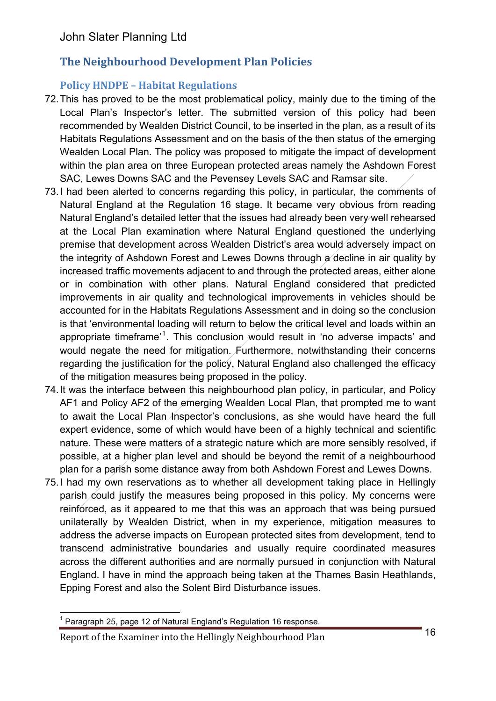## **The Neighbourhood Development Plan Policies**

### **Policy HNDPE – Habitat Regulations**

- 72.This has proved to be the most problematical policy, mainly due to the timing of the Local Plan's Inspector's letter. The submitted version of this policy had been recommended by Wealden District Council, to be inserted in the plan, as a result of its Habitats Regulations Assessment and on the basis of the then status of the emerging Wealden Local Plan. The policy was proposed to mitigate the impact of development within the plan area on three European protected areas namely the Ashdown Forest SAC, Lewes Downs SAC and the Pevensey Levels SAC and Ramsar site.
- 73.I had been alerted to concerns regarding this policy, in particular, the comments of Natural England at the Regulation 16 stage. It became very obvious from reading Natural England's detailed letter that the issues had already been very well rehearsed at the Local Plan examination where Natural England questioned the underlying premise that development across Wealden District's area would adversely impact on the integrity of Ashdown Forest and Lewes Downs through a decline in air quality by increased traffic movements adjacent to and through the protected areas, either alone or in combination with other plans. Natural England considered that predicted improvements in air quality and technological improvements in vehicles should be accounted for in the Habitats Regulations Assessment and in doing so the conclusion is that 'environmental loading will return to below the critical level and loads within an appropriate timeframe<sup>'1</sup>. This conclusion would result in 'no adverse impacts' and would negate the need for mitigation. Furthermore, notwithstanding their concerns regarding the justification for the policy, Natural England also challenged the efficacy of the mitigation measures being proposed in the policy.
- 74.It was the interface between this neighbourhood plan policy, in particular, and Policy AF1 and Policy AF2 of the emerging Wealden Local Plan, that prompted me to want to await the Local Plan Inspector's conclusions, as she would have heard the full expert evidence, some of which would have been of a highly technical and scientific nature. These were matters of a strategic nature which are more sensibly resolved, if possible, at a higher plan level and should be beyond the remit of a neighbourhood plan for a parish some distance away from both Ashdown Forest and Lewes Downs.
- 75.I had my own reservations as to whether all development taking place in Hellingly parish could justify the measures being proposed in this policy. My concerns were reinforced, as it appeared to me that this was an approach that was being pursued unilaterally by Wealden District, when in my experience, mitigation measures to address the adverse impacts on European protected sites from development, tend to across the different authorities and are normally pursued in conjunction with Natural England. I have in mind the approach being taken at the Thames Basin Heathlands, Epping Forest and also the Solent Bird Disturbance issues. transcend administrative boundaries and usually require coordinated measures

 $\overline{a}$ 

 $1$  Paragraph 25, page 12 of Natural England's Regulation 16 response.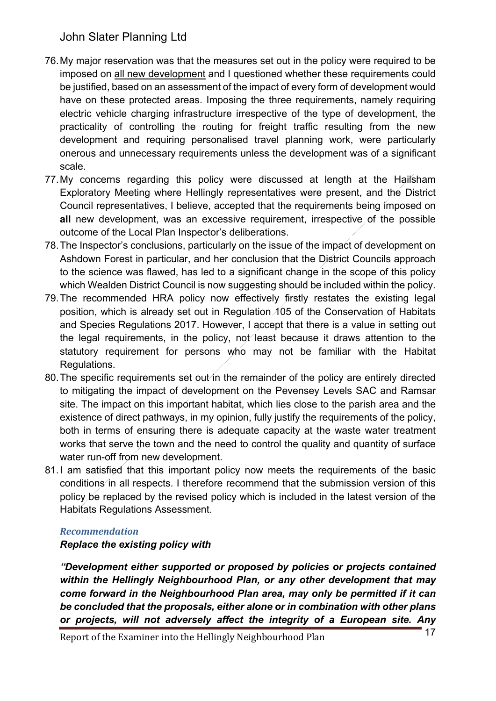- 76.My major reservation was that the measures set out in the policy were required to be imposed on all new development and I questioned whether these requirements could be justified, based on an assessment of the impact of every form of development would have on these protected areas. Imposing the three requirements, namely requiring electric vehicle charging infrastructure irrespective of the type of development, the practicality of controlling the routing for freight traffic resulting from the new development and requiring personalised travel planning work, were particularly onerous and unnecessary requirements unless the development was of a significant scale.
- 77.My concerns regarding this policy were discussed at length at the Hailsham Exploratory Meeting where Hellingly representatives were present, and the District Council representatives, I believe, accepted that the requirements being imposed on **all** new development, was an excessive requirement, irrespective of the possible outcome of the Local Plan Inspector's deliberations.
- 78.The Inspector's conclusions, particularly on the issue of the impact of development on Ashdown Forest in particular, and her conclusion that the District Councils approach to the science was flawed, has led to a significant change in the scope of this policy which Wealden District Council is now suggesting should be included within the policy.
- 79.The recommended HRA policy now effectively firstly restates the existing legal position, which is already set out in Regulation 105 of the Conservation of Habitats and Species Regulations 2017. However, I accept that there is a value in setting out the legal requirements, in the policy, not least because it draws attention to the statutory requirement for persons who may not be familiar with the Habitat Regulations.
- 80. The specific requirements set out/in the remainder of the policy are entirely directed to mitigating the impact of development on the Pevensey Levels SAC and Ramsar site. The impact on this important habitat, which lies close to the parish area and the existence of direct pathways, in my opinion, fully justify the requirements of the policy, both in terms of ensuring there is adequate capacity at the waste water treatment works that serve the town and the need to control the quality and quantity of surface water run-off from new development.
- 81.I am satisfied that this important policy now meets the requirements of the basic conditions in all respects. I therefore recommend that the submission version of this policy be replaced by the revised policy which is included in the latest version of the Habitats Regulations Assessment.

### *Recommendation*

 *Replace the existing policy with* 

 *"Development either supported or proposed by policies or projects contained*  within the Hellingly Neighbourhood Plan, or any other development that may  *come forward in the Neighbourhood Plan area, may only be permitted if it can be concluded that the proposals, either alone or in combination with other plans or projects, will not adversely affect the integrity of a European site. Any*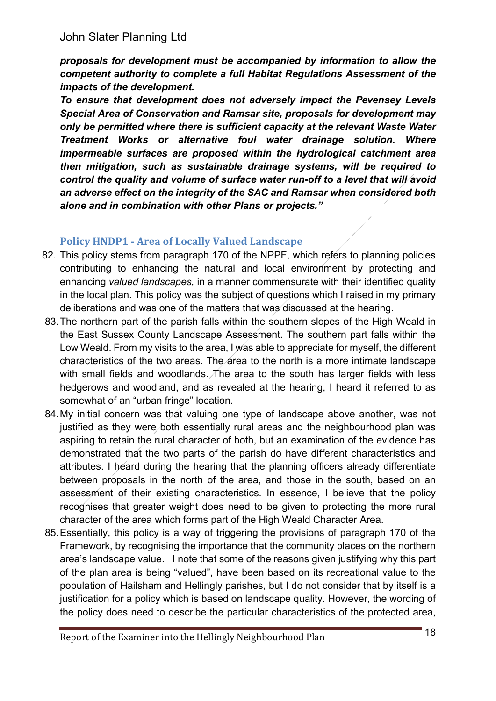*proposals for development must be accompanied by information to allow the competent authority to complete a full Habitat Regulations Assessment of the impacts of the development.* 

 *To ensure that development does not adversely impact the Pevensey Levels Special Area of Conservation and Ramsar site, proposals for development may only be permitted where there is sufficient capacity at the relevant Waste Water Treatment Works or alternative foul water drainage solution. Where*  impermeable surfaces are proposed within the hydrological catchment area  *then mitigation, such as sustainable drainage systems, will be required to*  control the quality and volume of surface water run-off to a level that will avoid  *an adverse effect on the integrity of the SAC and Ramsar when considered both alone and in combination with other Plans or projects."* 

### **Policy HNDP1 - Area of Locally Valued Landscape**

- 82. This policy stems from paragraph 170 of the NPPF, which refers to planning policies contributing to enhancing the natural and local environment by protecting and enhancing *valued landscapes,* in a manner commensurate with their identified quality in the local plan. This policy was the subject of questions which I raised in my primary deliberations and was one of the matters that was discussed at the hearing.
- 83.The northern part of the parish falls within the southern slopes of the High Weald in the East Sussex County Landscape Assessment. The southern part falls within the Low Weald. From my visits to the area, I was able to appreciate for myself, the different characteristics of the two areas. The area to the north is a more intimate landscape with small fields and woodlands. The area to the south has larger fields with less hedgerows and woodland, and as revealed at the hearing, I heard it referred to as somewhat of an "urban fringe" location.
- 84.My initial concern was that valuing one type of landscape above another, was not justified as they were both essentially rural areas and the neighbourhood plan was aspiring to retain the rural character of both, but an examination of the evidence has demonstrated that the two parts of the parish do have different characteristics and attributes. I heard during the hearing that the planning officers already differentiate between proposals in the north of the area, and those in the south, based on an assessment of their existing characteristics. In essence, I believe that the policy recognises that greater weight does need to be given to protecting the more rural character of the area which forms part of the High Weald Character Area.
- 85.Essentially, this policy is a way of triggering the provisions of paragraph 170 of the Framework, by recognising the importance that the community places on the northern area's landscape value. I note that some of the reasons given justifying why this part of the plan area is being "valued", have been based on its recreational value to the population of Hailsham and Hellingly parishes, but I do not consider that by itself is a justification for a policy which is based on landscape quality. However, the wording of the policy does need to describe the particular characteristics of the protected area,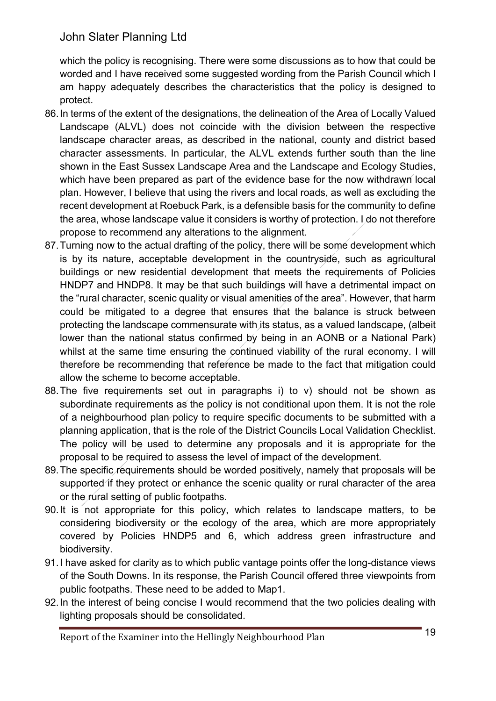which the policy is recognising. There were some discussions as to how that could be worded and I have received some suggested wording from the Parish Council which I am happy adequately describes the characteristics that the policy is designed to protect.

- 86.In terms of the extent of the designations, the delineation of the Area of Locally Valued Landscape (ALVL) does not coincide with the division between the respective landscape character areas, as described in the national, county and district based character assessments. In particular, the ALVL extends further south than the line shown in the East Sussex Landscape Area and the Landscape and Ecology Studies, which have been prepared as part of the evidence base for the now withdrawn local plan. However, I believe that using the rivers and local roads, as well as excluding the recent development at Roebuck Park, is a defensible basis for the community to define the area, whose landscape value it considers is worthy of protection. I do not therefore propose to recommend any alterations to the alignment.
- 87.Turning now to the actual drafting of the policy, there will be some development which is by its nature, acceptable development in the countryside, such as agricultural buildings or new residential development that meets the requirements of Policies HNDP7 and HNDP8. It may be that such buildings will have a detrimental impact on the "rural character, scenic quality or visual amenities of the area". However, that harm could be mitigated to a degree that ensures that the balance is struck between protecting the landscape commensurate with its status, as a valued landscape, (albeit lower than the national status confirmed by being in an AONB or a National Park) whilst at the same time ensuring the continued viability of the rural economy. I will therefore be recommending that reference be made to the fact that mitigation could allow the scheme to become acceptable.
- 88.The five requirements set out in paragraphs i) to v) should not be shown as subordinate requirements as the policy is not conditional upon them. It is not the role of a neighbourhood plan policy to require specific documents to be submitted with a planning application, that is the role of the District Councils Local Validation Checklist. The policy will be used to determine any proposals and it is appropriate for the proposal to be required to assess the level of impact of the development.
- 89.The specific requirements should be worded positively, namely that proposals will be supported if they protect or enhance the scenic quality or rural character of the area or the rural setting of public footpaths.
- 90.It is not appropriate for this policy, which relates to landscape matters, to be considering biodiversity or the ecology of the area, which are more appropriately covered by Policies HNDP5 and 6, which address green infrastructure and biodiversity.
- 91.I have asked for clarity as to which public vantage points offer the long-distance views of the South Downs. In its response, the Parish Council offered three viewpoints from public footpaths. These need to be added to Map1.
- 92.In the interest of being concise I would recommend that the two policies dealing with lighting proposals should be consolidated.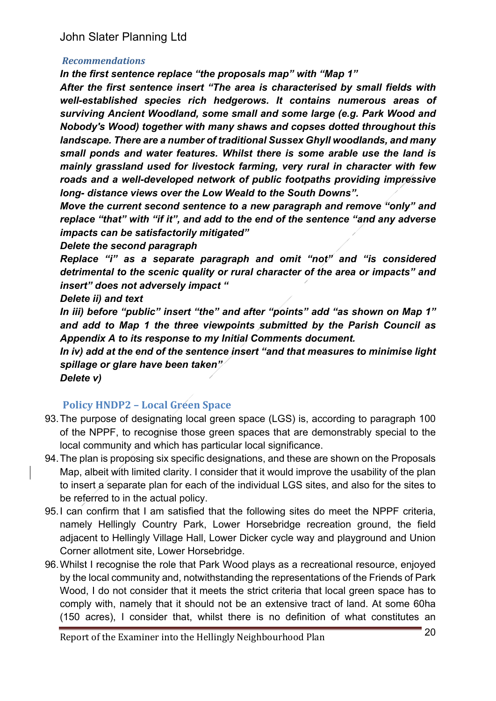#### *Recommendations*

 *In the first sentence replace "the proposals map" with "Map 1"* 

 *After the first sentence insert "The area is characterised by small fields with*  well-established species rich hedgerows. It contains numerous areas of  *surviving Ancient Woodland, some small and some large (e.g. Park Wood and Nobody's Wood) together with many shaws and copses dotted throughout this landscape. There are a number of traditional Sussex Ghyll woodlands, and many small ponds and water features. Whilst there is some arable use the land is mainly grassland used for livestock farming, very rural in character with few roads and a well-developed network of public footpaths providing impressive long- distance views over the Low Weald to the South Downs".* 

 *Move the current second sentence to a new paragraph and remove "only" and replace "that" with "if it", and add to the end of the sentence "and any adverse impacts can be satisfactorily mitigated"* 

 *Delete the second paragraph* 

 *Replace "i" as a separate paragraph and omit "not" and "is considered detrimental to the scenic quality or rural character of the area or impacts" and insert" does not adversely impact "* 

 *Delete ii) and text* 

 *In iii) before "public" insert "the" and after "points" add "as shown on Map 1" and add to Map 1 the three viewpoints submitted by the Parish Council as Appendix A to its response to my Initial Comments document.* 

 *In iv) add at the end of the sentence insert "and that measures to minimise light spillage or glare have been taken"* 

 *Delete v)* 

### **Policy HNDP2 – Local Green Space**

- 93.The purpose of designating local green space (LGS) is, according to paragraph 100 of the NPPF, to recognise those green spaces that are demonstrably special to the local community and which has particular local significance.
- 94.The plan is proposing six specific designations, and these are shown on the Proposals Map, albeit with limited clarity. I consider that it would improve the usability of the plan to insert a separate plan for each of the individual LGS sites, and also for the sites to be referred to in the actual policy.
- 95.I can confirm that I am satisfied that the following sites do meet the NPPF criteria, namely Hellingly Country Park, Lower Horsebridge recreation ground, the field adjacent to Hellingly Village Hall, Lower Dicker cycle way and playground and Union Corner allotment site, Lower Horsebridge.
- 96.Whilst I recognise the role that Park Wood plays as a recreational resource, enjoyed by the local community and, notwithstanding the representations of the Friends of Park Wood, I do not consider that it meets the strict criteria that local green space has to comply with, namely that it should not be an extensive tract of land. At some 60ha (150 acres), I consider that, whilst there is no definition of what constitutes an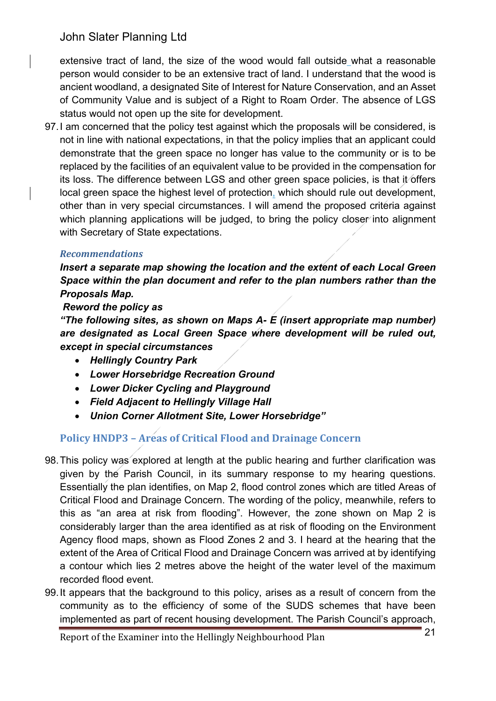extensive tract of land, the size of the wood would fall outside what a reasonable person would consider to be an extensive tract of land. I understand that the wood is ancient woodland, a designated Site of Interest for Nature Conservation, and an Asset of Community Value and is subject of a Right to Roam Order. The absence of LGS status would not open up the site for development.

 97.I am concerned that the policy test against which the proposals will be considered, is not in line with national expectations, in that the policy implies that an applicant could demonstrate that the green space no longer has value to the community or is to be replaced by the facilities of an equivalent value to be provided in the compensation for its loss. The difference between LGS and other green space policies, is that it offers local green space the highest level of protection, which should rule out development, other than in very special circumstances. I will amend the proposed criteria against which planning applications will be judged, to bring the policy closer into alignment with Secretary of State expectations.

#### *Recommendations*

Insert a separate map showing the location and the extent of each Local Green  *Space within the plan document and refer to the plan numbers rather than the Proposals Map.* 

#### *Reword the policy as*

 *"The following sites, as shown on Maps A- E (insert appropriate map number)*  are designated as Local Green Space where development will be ruled out,  *except in special circumstances* 

- *Hellingly Country Park*
- *Lower Horsebridge Recreation Ground*
- *Lower Dicker Cycling and Playground*
- *Field Adjacent to Hellingly Village Hall*
- *Union Corner Allotment Site, Lower Horsebridge"*  •

### **Policy HNDP3 – Areas of Critical Flood and Drainage Concern**

- 98.This policy was explored at length at the public hearing and further clarification was given by the Parish Council, in its summary response to my hearing questions. Essentially the plan identifies, on Map 2, flood control zones which are titled Areas of Critical Flood and Drainage Concern. The wording of the policy, meanwhile, refers to this as "an area at risk from flooding". However, the zone shown on Map 2 is considerably larger than the area identified as at risk of flooding on the Environment Agency flood maps, shown as Flood Zones 2 and 3. I heard at the hearing that the extent of the Area of Critical Flood and Drainage Concern was arrived at by identifying a contour which lies 2 metres above the height of the water level of the maximum recorded flood event.
- 99.It appears that the background to this policy, arises as a result of concern from the community as to the efficiency of some of the SUDS schemes that have been implemented as part of recent housing development. The Parish Council's approach,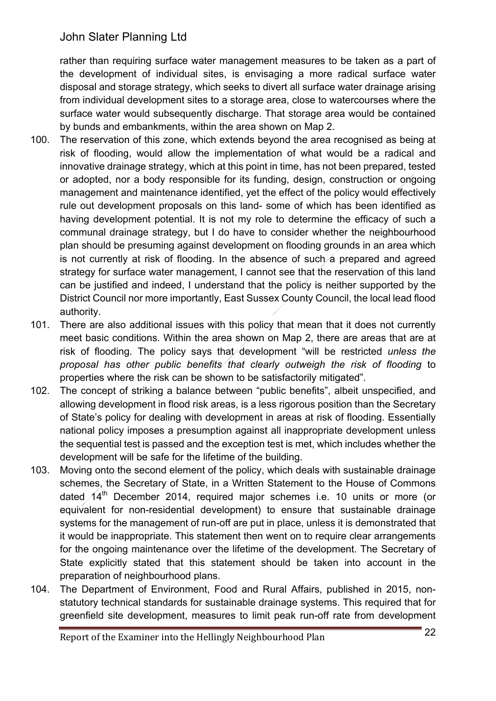rather than requiring surface water management measures to be taken as a part of the development of individual sites, is envisaging a more radical surface water disposal and storage strategy, which seeks to divert all surface water drainage arising from individual development sites to a storage area, close to watercourses where the surface water would subsequently discharge. That storage area would be contained by bunds and embankments, within the area shown on Map 2.

- $100.$  risk of flooding, would allow the implementation of what would be a radical and innovative drainage strategy, which at this point in time, has not been prepared, tested or adopted, nor a body responsible for its funding, design, construction or ongoing management and maintenance identified, yet the effect of the policy would effectively rule out development proposals on this land- some of which has been identified as having development potential. It is not my role to determine the efficacy of such a communal drainage strategy, but I do have to consider whether the neighbourhood plan should be presuming against development on flooding grounds in an area which is not currently at risk of flooding. In the absence of such a prepared and agreed strategy for surface water management, I cannot see that the reservation of this land can be justified and indeed, I understand that the policy is neither supported by the District Council nor more importantly, East Sussex County Council, the local lead flood authority. The reservation of this zone, which extends beyond the area recognised as being at
- $101.$  meet basic conditions. Within the area shown on Map 2, there are areas that are at risk of flooding. The policy says that development "will be restricted *unless the proposal has other public benefits that clearly outweigh the risk of flooding* to properties where the risk can be shown to be satisfactorily mitigated". There are also additional issues with this policy that mean that it does not currently
- 102. The concept of striking a balance between "public benefits", albeit unspecified, and allowing development in flood risk areas, is a less rigorous position than the Secretary of State's policy for dealing with development in areas at risk of flooding. Essentially national policy imposes a presumption against all inappropriate development unless the sequential test is passed and the exception test is met, which includes whether the development will be safe for the lifetime of the building.
- 103. schemes, the Secretary of State, in a Written Statement to the House of Commons dated  $14<sup>th</sup>$  December 2014, required major schemes i.e. 10 units or more (or equivalent for non-residential development) to ensure that sustainable drainage systems for the management of run-off are put in place, unless it is demonstrated that it would be inappropriate. This statement then went on to require clear arrangements for the ongoing maintenance over the lifetime of the development. The Secretary of State explicitly stated that this statement should be taken into account in the preparation of neighbourhood plans. Moving onto the second element of the policy, which deals with sustainable drainage
- 104. statutory technical standards for sustainable drainage systems. This required that for greenfield site development, measures to limit peak run-off rate from development The Department of Environment, Food and Rural Affairs, published in 2015, non-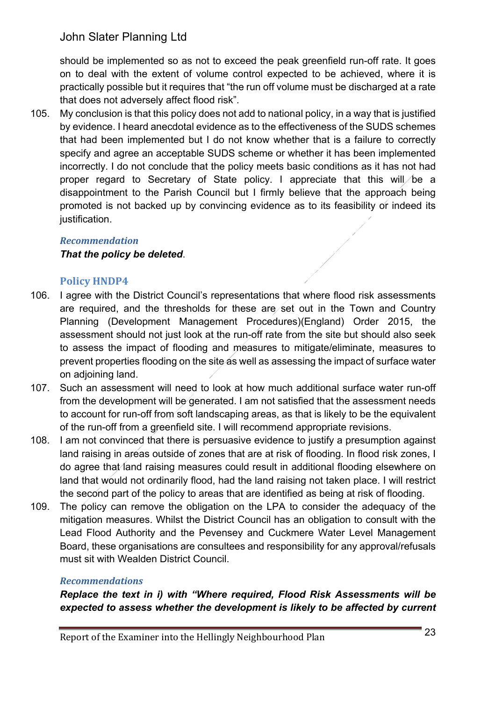should be implemented so as not to exceed the peak greenfield run-off rate. It goes on to deal with the extent of volume control expected to be achieved, where it is practically possible but it requires that "the run off volume must be discharged at a rate that does not adversely affect flood risk".

 105. My conclusion is that this policy does not add to national policy, in a way that is justified by evidence. I heard anecdotal evidence as to the effectiveness of the SUDS schemes that had been implemented but I do not know whether that is a failure to correctly specify and agree an acceptable SUDS scheme or whether it has been implemented incorrectly. I do not conclude that the policy meets basic conditions as it has not had proper regard to Secretary of State policy. I appreciate that this will be a disappointment to the Parish Council but I firmly believe that the approach being promoted is not backed up by convincing evidence as to its feasibility or indeed its justification.

#### *Recommendation*

### *That the policy be deleted*.

### **Policy HNDP4**

- 106. I agree with the District Council's representations that where flood risk assessments are required, and the thresholds for these are set out in the Town and Country assessment should not just look at the run-off rate from the site but should also seek to assess the impact of flooding and measures to mitigate/eliminate, measures to prevent properties flooding on the site as well as assessing the impact of surface water Planning (Development Management Procedures)(England) Order 2015, the on adjoining land.
- $107.$ from the development will be generated. I am not satisfied that the assessment needs to account for run-off from soft landscaping areas, as that is likely to be the equivalent of the run-off from a greenfield site. I will recommend appropriate revisions. Such an assessment will need to look at how much additional surface water run-off
- 108. land raising in areas outside of zones that are at risk of flooding. In flood risk zones, I do agree that land raising measures could result in additional flooding elsewhere on land that would not ordinarily flood, had the land raising not taken place. I will restrict the second part of the policy to areas that are identified as being at risk of flooding. I am not convinced that there is persuasive evidence to justify a presumption against
- 109. The policy can remove the obligation on the LPA to consider the adequacy of the mitigation measures. Whilst the District Council has an obligation to consult with the Lead Flood Authority and the Pevensey and Cuckmere Water Level Management Board, these organisations are consultees and responsibility for any approval/refusals must sit with Wealden District Council.

### *Recommendations*

 *Replace the text in i) with "Where required, Flood Risk Assessments will be*  expected to assess whether the development is likely to be affected by current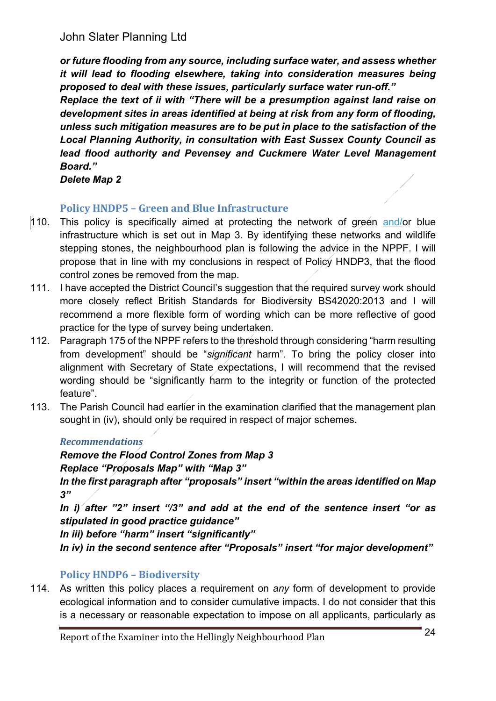*or future flooding from any source, including surface water, and assess whether*  it will lead to flooding elsewhere, taking into consideration measures being  *proposed to deal with these issues, particularly surface water run-off." Replace the text of ii with "There will be a presumption against land raise on development sites in areas identified at being at risk from any form of flooding, unless such mitigation measures are to be put in place to the satisfaction of the Local Planning Authority, in consultation with East Sussex County Council as*  lead flood authority and Pevensey and Cuckmere Water Level Management *Board."* 

**Delete Map 2** 

## **Policy HNDP5 - Green and Blue Infrastructure**

- This policy is specifically aimed at protecting the network of green and/or blue infrastructure which is set out in Map 3. By identifying these networks and wildlife stepping stones, the neighbourhood plan is following the advice in the NPPF. I will propose that in line with my conclusions in respect of Policy HNDP3, that the flood control zones be removed from the map.  $|110.$ **Delete Map 2**<br> **Policy HNDP**<br>
110. This policy is<br>
infrastructure<br>
stepping stone<br>
propose that is<br>
control zones l<br>
111. I have accepte<br>
more closely<br>
recommend a<br>
practice for the<br>
112. Paragraph 175<br>
from developr<br>
ali
- I have accepted the District Council's suggestion that the required survey work should more closely reflect British Standards for Biodiversity BS42020:2013 and I will recommend a more flexible form of wording which can be more reflective of good practice for the type of survey being undertaken. 111. I have accepted the District Council's suggestion that the required survey work should<br>more closely reflect British Standards for Biodiversity BS42020:2013 and I will<br>recommend a more flexible form of wording which ca
- from development" should be "*significant* harm". To bring the policy closer into alignment with Secretary of State expectations, I will recommend that the revised wording should be "significantly harm to the integrity or function of the protected feature".
- The Parish Council had earlier in the examination clarified that the management plan sought in (iv), should only be required in respect of major schemes.

### *Recommendations*

 *Remove the Flood Control Zones from Map 3 Replace "Proposals Map" with "Map 3"* 

 *In the first paragraph after "proposals" insert "within the areas identified on Map 3"* 

 *In i) after "2" insert "/3" and add at the end of the sentence insert "or as stipulated in good practice guidance"* 

 *In iii) before "harm" insert "significantly"* 

 *In iv) in the second sentence after "Proposals" insert "for major development"* 

# **Policy HNDP6 – Biodiversity**

 114. As written this policy places a requirement on *any* form of development to provide ecological information and to consider cumulative impacts. I do not consider that this is a necessary or reasonable expectation to impose on all applicants, particularly as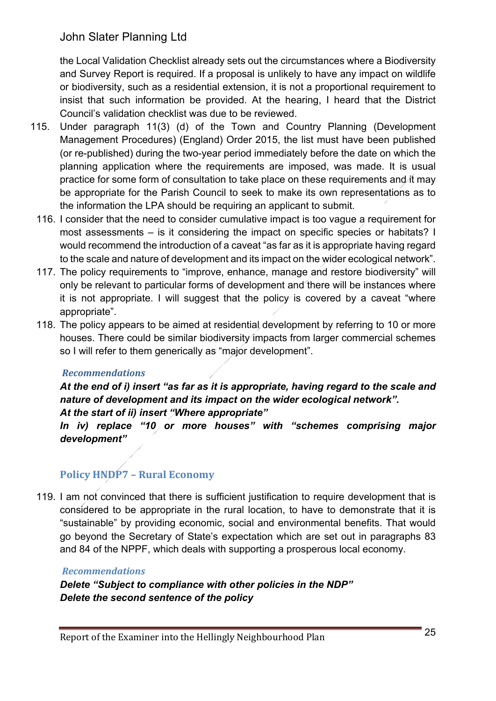the Local Validation Checklist already sets out the circumstances where a Biodiversity and Survey Report is required. If a proposal is unlikely to have any impact on wildlife or biodiversity, such as a residential extension, it is not a proportional requirement to insist that such information be provided. At the hearing, I heard that the District Council's validation checklist was due to be reviewed.

- 115. Under paragraph 11(3) (d) of the Town and Country Planning (Development Management Procedures) (England) Order 2015, the list must have been published (or re-published) during the two-year period immediately before the date on which the planning application where the requirements are imposed, was made. It is usual practice for some form of consultation to take place on these requirements and it may be appropriate for the Parish Council to seek to make its own representations as to the information the LPA should be requiring an applicant to submit.
- 116. I consider that the need to consider cumulative impact is too vague a requirement for most assessments – is it considering the impact on specific species or habitats? I would recommend the introduction of a caveat "as far as it is appropriate having regard to the scale and nature of development and its impact on the wider ecological network".
- 117. The policy requirements to "improve, enhance, manage and restore biodiversity" will only be relevant to particular forms of development and there will be instances where it is not appropriate. I will suggest that the policy is covered by a caveat "where appropriate".
- 118. The policy appears to be aimed at residential development by referring to 10 or more houses. There could be similar biodiversity impacts from larger commercial schemes so I will refer to them generically as "major development".

#### *Recommendations*

 *At the end of i) insert "as far as it is appropriate, having regard to the scale and nature of development and its impact on the wider ecological network". At the start of ii) insert "Where appropriate"* 

 *In iv) replace "10 or more houses" with "schemes comprising major development"* 

## **Policy HNDP7 – Rural Economy**

 119. I am not convinced that there is sufficient justification to require development that is considered to be appropriate in the rural location, to have to demonstrate that it is "sustainable" by providing economic, social and environmental benefits. That would go beyond the Secretary of State's expectation which are set out in paragraphs 83 and 84 of the NPPF, which deals with supporting a prosperous local economy.

#### *Recommendations*

 *Delete "Subject to compliance with other policies in the NDP" Delete the second sentence of the policy*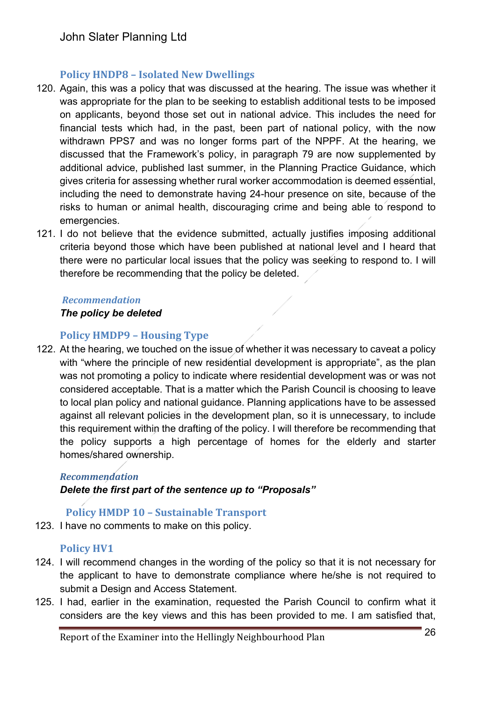### **Policy HNDP8 – Isolated New Dwellings**

- 120. Again, this was a policy that was discussed at the hearing. The issue was whether it was appropriate for the plan to be seeking to establish additional tests to be imposed on applicants, beyond those set out in national advice. This includes the need for financial tests which had, in the past, been part of national policy, with the now withdrawn PPS7 and was no longer forms part of the NPPF. At the hearing, we discussed that the Framework's policy, in paragraph 79 are now supplemented by additional advice, published last summer, in the Planning Practice Guidance, which gives criteria for assessing whether rural worker accommodation is deemed essential, including the need to demonstrate having 24-hour presence on site, because of the risks to human or animal health, discouraging crime and being able to respond to emergencies.
- 121. I do not believe that the evidence submitted, actually justifies imposing additional criteria beyond those which have been published at national level and I heard that there were no particular local issues that the policy was seeking to respond to. I will therefore be recommending that the policy be deleted.

#### *Recommendation*

#### *The policy be deleted*

### **Policy HMDP9 – Housing Type**

122. At the hearing, we touched on the issue of whether it was necessary to caveat a policy with "where the principle of new residential development is appropriate", as the plan was not promoting a policy to indicate where residential development was or was not considered acceptable. That is a matter which the Parish Council is choosing to leave to local plan policy and national guidance. Planning applications have to be assessed against all relevant policies in the development plan, so it is unnecessary, to include this requirement within the drafting of the policy. I will therefore be recommending that the policy supports a high percentage of homes for the elderly and starter homes/shared ownership.

### *Recommendation*

### *Delete the first part of the sentence up to "Proposals"*

### **Policy HMDP 10 – Sustainable Transport**

123. I have no comments to make on this policy.

## **Policy HV1**

- 124. I will recommend changes in the wording of the policy so that it is not necessary for the applicant to have to demonstrate compliance where he/she is not required to submit a Design and Access Statement.
- 125. I had, earlier in the examination, requested the Parish Council to confirm what it considers are the key views and this has been provided to me. I am satisfied that,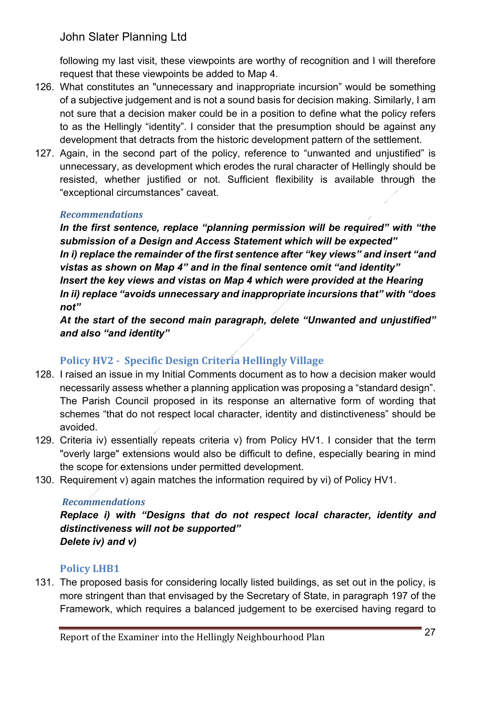following my last visit, these viewpoints are worthy of recognition and I will therefore request that these viewpoints be added to Map 4.

- 126. What constitutes an "unnecessary and inappropriate incursion" would be something of a subjective judgement and is not a sound basis for decision making. Similarly, I am not sure that a decision maker could be in a position to define what the policy refers to as the Hellingly "identity". I consider that the presumption should be against any development that detracts from the historic development pattern of the settlement.
- 127. Again, in the second part of the policy, reference to "unwanted and unjustified" is unnecessary, as development which erodes the rural character of Hellingly should be resisted, whether justified or not. Sufficient flexibility is available through the "exceptional circumstances" caveat.

#### *Recommendations*

In the first sentence, replace "planning permission will be required" with "the  *submission of a Design and Access Statement which will be expected" In i) replace the remainder of the first sentence after "key views" and insert "and vistas as shown on Map 4" and in the final sentence omit "and identity"*  Insert the key views and vistas on Map 4 which were provided at the Hearing  *In ii) replace "avoids unnecessary and inappropriate incursions that" with "does not"* 

 *At the start of the second main paragraph, delete "Unwanted and unjustified" and also "and identity"* 

## **Policy HV2 - Specific Design Criteria Hellingly Village**

- 128. I raised an issue in my Initial Comments document as to how a decision maker would necessarily assess whether a planning application was proposing a "standard design". The Parish Council proposed in its response an alternative form of wording that schemes "that do not respect local character, identity and distinctiveness" should be avoided.
- 129. Criteria iv) essentially repeats criteria v) from Policy HV1. I consider that the term "overly large" extensions would also be difficult to define, especially bearing in mind the scope for extensions under permitted development.
- 130. Requirement v) again matches the information required by vi) of Policy HV1.

### *Recommendations*

 *Replace i) with "Designs that do not respect local character, identity and distinctiveness will not be supported" Delete iv) and v)* 

## **Policy LHB1**

 131. The proposed basis for considering locally listed buildings, as set out in the policy, is more stringent than that envisaged by the Secretary of State, in paragraph 197 of the Framework, which requires a balanced judgement to be exercised having regard to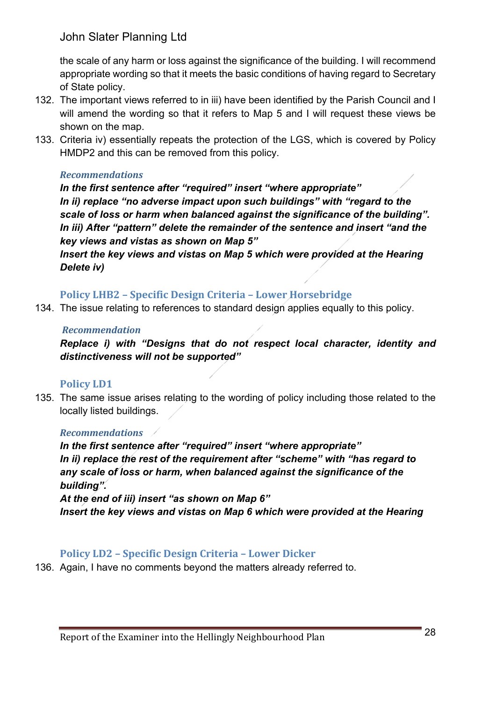the scale of any harm or loss against the significance of the building. I will recommend appropriate wording so that it meets the basic conditions of having regard to Secretary of State policy.

- 132. The important views referred to in iii) have been identified by the Parish Council and I will amend the wording so that it refers to Map 5 and I will request these views be shown on the map.
- 133. Criteria iv) essentially repeats the protection of the LGS, which is covered by Policy HMDP2 and this can be removed from this policy.

#### *Recommendations*

 *In the first sentence after "required" insert "where appropriate" In ii) replace "no adverse impact upon such buildings" with "regard to the scale of loss or harm when balanced against the significance of the building". In iii) After "pattern" delete the remainder of the sentence and insert "and the key views and vistas as shown on Map 5"* 

Insert the key views and vistas on Map 5 which were provided at the Hearing  *Delete iv)* 

### **Policy LHB2 – Specific Design Criteria – Lower Horsebridge**

134. The issue relating to references to standard design applies equally to this policy.

#### *Recommendation*

 *Replace i) with "Designs that do not respect local character, identity and distinctiveness will not be supported"* 

## **Policy LD1**

 135. The same issue arises relating to the wording of policy including those related to the locally listed buildings.

### *Recommendations*

 *In the first sentence after "required" insert "where appropriate" In ii) replace the rest of the requirement after "scheme" with "has regard to any scale of loss or harm, when balanced against the significance of the building".* 

 *At the end of iii) insert "as shown on Map 6"*  Insert the key views and vistas on Map 6 which were provided at the Hearing

### **Policy LD2 – Specific Design Criteria – Lower Dicker**

136. Again, I have no comments beyond the matters already referred to.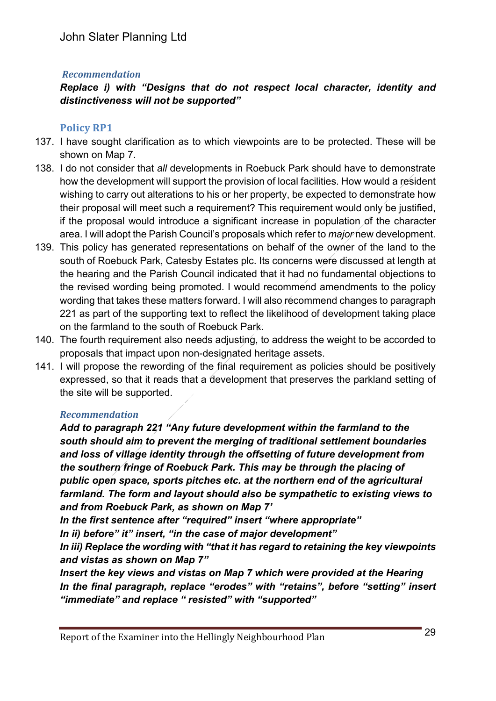### *Recommendation*

### *Replace i) with "Designs that do not respect local character, identity and distinctiveness will not be supported"*

### **Policy RP1**

- 137. I have sought clarification as to which viewpoints are to be protected. These will be shown on Map 7.
- 138. I do not consider that *all* developments in Roebuck Park should have to demonstrate how the development will support the provision of local facilities. How would a resident wishing to carry out alterations to his or her property, be expected to demonstrate how their proposal will meet such a requirement? This requirement would only be justified, if the proposal would introduce a significant increase in population of the character area. I will adopt the Parish Council's proposals which refer to *major* new development.
- 139. This policy has generated representations on behalf of the owner of the land to the south of Roebuck Park, Catesby Estates plc. Its concerns were discussed at length at the hearing and the Parish Council indicated that it had no fundamental objections to the revised wording being promoted. I would recommend amendments to the policy wording that takes these matters forward. I will also recommend changes to paragraph 221 as part of the supporting text to reflect the likelihood of development taking place on the farmland to the south of Roebuck Park.
- 140. The fourth requirement also needs adjusting, to address the weight to be accorded to proposals that impact upon non-designated heritage assets.
- 141. I will propose the rewording of the final requirement as policies should be positively expressed, so that it reads that a development that preserves the parkland setting of the site will be supported.

#### *Recommendation*

 *Add to paragraph 221 "Any future development within the farmland to the south should aim to prevent the merging of traditional settlement boundaries and loss of village identity through the offsetting of future development from the southern fringe of Roebuck Park. This may be through the placing of public open space, sports pitches etc. at the northern end of the agricultural*  farmland. The form and layout should also be sympathetic to existing views to  *and from Roebuck Park, as shown on Map 7'* 

 *In the first sentence after "required" insert "where appropriate"* 

 *In ii) before" it" insert, "in the case of major development"* 

 *In iii) Replace the wording with "that it has regard to retaining the key viewpoints and vistas as shown on Map 7"* 

Insert the key views and vistas on Map 7 which were provided at the Hearing  *In the final paragraph, replace "erodes" with "retains", before "setting" insert "immediate" and replace " resisted" with "supported"*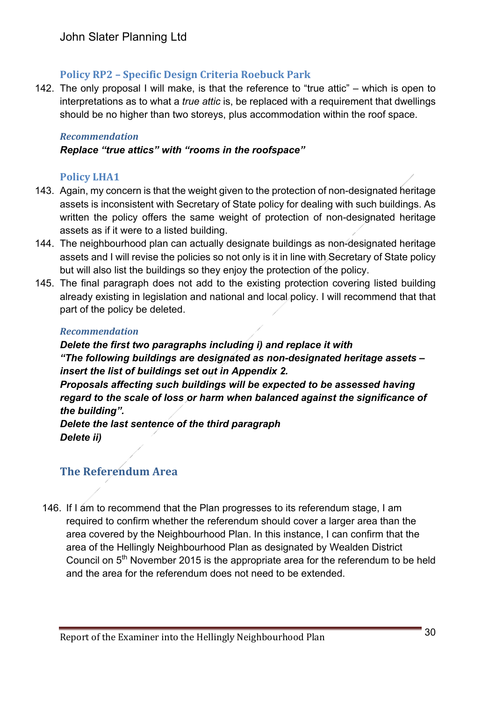### **Policy RP2 – Specific Design Criteria Roebuck Park**

 142. The only proposal I will make, is that the reference to "true attic" – which is open to interpretations as to what a *true attic* is, be replaced with a requirement that dwellings should be no higher than two storeys, plus accommodation within the roof space.

#### *Recommendation*

#### *Replace "true attics" with "rooms in the roofspace"*

#### **Policy LHA1**

- 143. Again, my concern is that the weight given to the protection of non-designated heritage assets is inconsistent with Secretary of State policy for dealing with such buildings. As written the policy offers the same weight of protection of non-designated heritage assets as if it were to a listed building.
- 144. The neighbourhood plan can actually designate buildings as non-designated heritage assets and I will revise the policies so not only is it in line with Secretary of State policy but will also list the buildings so they enjoy the protection of the policy.
- 145. The final paragraph does not add to the existing protection covering listed building already existing in legislation and national and local policy. I will recommend that that part of the policy be deleted.

#### *Recommendation*

 *Delete the first two paragraphs including i) and replace it with "The following buildings are designated as non-designated heritage assets – insert the list of buildings set out in Appendix 2. Proposals affecting such buildings will be expected to be assessed having regard to the scale of loss or harm when balanced against the significance of the building".* 

 *Delete the last sentence of the third paragraph Delete ii)* 

## **The Referendum Area**

 146. If I am to recommend that the Plan progresses to its referendum stage, I am required to confirm whether the referendum should cover a larger area than the area covered by the Neighbourhood Plan. In this instance, I can confirm that the area of the Hellingly Neighbourhood Plan as designated by Wealden District Council on  $5<sup>th</sup>$  November 2015 is the appropriate area for the referendum to be held and the area for the referendum does not need to be extended.